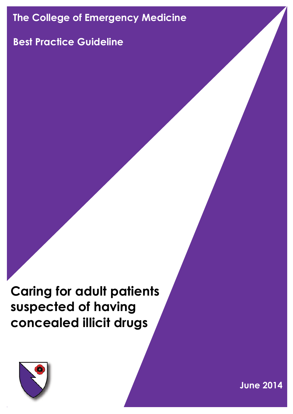# **The College of Emergency Medicine**

# **Best Practice Guideline**

**Caring for adult patients suspected of having concealed illicit drugs**



**June 2014**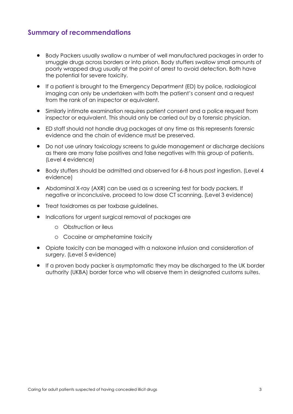## **Summary of recommendations**

- Body Packers usually swallow a number of well manufactured packages in order to smuggle drugs across borders or into prison. Body stuffers swallow small amounts of poorly wrapped drug usually at the point of arrest to avoid detection. Both have the potential for severe toxicity.
- If a patient is brought to the Emergency Department (ED) by police, radiological imaging can only be undertaken with both the patient's consent and a request from the rank of an inspector or equivalent.
- Similarly intimate examination requires patient consent and a police request from inspector or equivalent. This should only be carried out by a forensic physician.
- ED staff should not handle drug packages at any time as this represents forensic evidence and the chain of evidence must be preserved.
- Do not use urinary toxicology screens to guide management or discharge decisions as there are many false positives and false negatives with this group of patients. (Level 4 evidence)
- Body stuffers should be admitted and observed for 6-8 hours post ingestion. (Level 4 evidence)
- Abdominal X-ray (AXR) can be used as a screening test for body packers. If negative or inconclusive, proceed to low dose CT scanning. (Level 3 evidence)
- Treat toxidromes as per toxbase guidelines.
- Indications for urgent surgical removal of packages are
	- o Obstruction or ileus
	- o Cocaine or amphetamine toxicity
- Opiate toxicity can be managed with a naloxone infusion and consideration of surgery. (Level 5 evidence)
- If a proven body packer is asymptomatic they may be discharged to the UK border authority (UKBA) border force who will observe them in designated customs suites.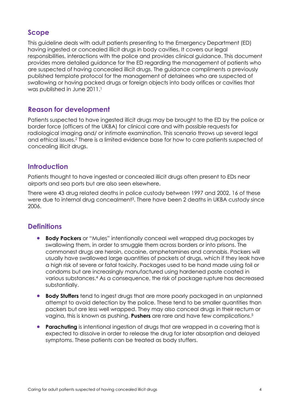## **Scope**

This guideline deals with adult patients presenting to the Emergency Department (ED) having ingested or concealed illicit drugs in body cavities. It covers our legal responsibilities, interactions with the police and provides clinical guidance. This document provides more detailed guidance for the ED regarding the management of patients who are suspected of having concealed illicit drugs. The guidance compliments a previously published template protocol for the management of detainees who are suspected of swallowing or having packed drugs or foreign objects into body orifices or cavities that was published in June 2011.<sup>1</sup>

## **Reason for development**

Patients suspected to have ingested illicit drugs may be brought to the ED by the police or border force (officers of the UKBA) for clinical care and with possible requests for radiological imaging and/ or intimate examination. This scenario throws up several legal and ethical issues.<sup>2</sup> There is a limited evidence base for how to care patients suspected of concealing illicit drugs.

### **Introduction**

Patients thought to have ingested or concealed illicit drugs often present to EDs near airports and sea ports but are also seen elsewhere.

There were 43 drug related deaths in police custody between 1997 and 2002, 16 of these were due to internal drug concealment<sup>3</sup>. There have been 2 deaths in UKBA custody since 2006.

## **Definitions**

- **Body Packers** or "Mules" intentionally conceal well wrapped drug packages by swallowing them, in order to smuggle them across borders or into prisons. The commonest drugs are heroin, cocaine, amphetamines and cannabis. Packers will usually have swallowed large quantities of packets of drugs, which if they leak have a high risk of severe or fatal toxicity. Packages used to be hand made using foil or condoms but are increasingly manufactured using hardened paste coated in various substances.<sup>4</sup> As a consequence, the risk of package rupture has decreased substantially.
- **Body Stuffers** tend to ingest drugs that are more poorly packaged in an unplanned attempt to avoid detection by the police. These tend to be smaller quantities than packers but are less well wrapped. They may also conceal drugs in their rectum or vagina, this is known as pushing. **Pushers** are rare and have few complications.<sup>5</sup>
- **Parachuting** is intentional ingestion of drugs that are wrapped in a covering that is expected to dissolve in order to release the drug for later absorption and delayed symptoms. These patients can be treated as body stuffers.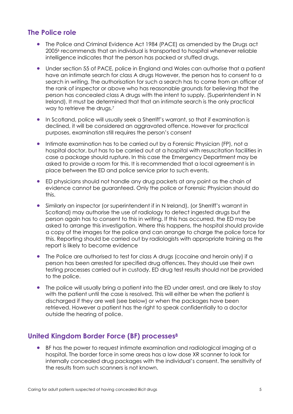## **The Police role**

- The Police and Criminal Evidence Act 1984 (PACE) as amended by the Drugs act 2005<sup>6</sup> recommends that an individual is transported to hospital whenever reliable intelligence indicates that the person has packed or stuffed drugs.
- Under section 55 of PACE, police in England and Wales can authorise that a patient have an intimate search for class A drugs However, the person has to consent to a search in writing. The authorisation for such a search has to come from an officer of the rank of inspector or above who has reasonable grounds for believing that the person has concealed class A drugs with the intent to supply. (Superintendent in N Ireland). It must be determined that that an intimate search is the only practical way to retrieve the drugs.<sup>7</sup>
- In Scotland, police will usually seek a Sherriff's warrant, so that if examination is declined, it will be considered an aggravated offence. However for practical purposes, examination still requires the person's consent
- Intimate examination has to be carried out by a Forensic Physician (FP), not a hospital doctor, but has to be carried out at a hospital with resuscitation facilities in case a package should rupture. In this case the Emergency Department may be asked to provide a room for this. It is recommended that a local agreement is in place between the ED and police service prior to such events.
- ED physicians should not handle any drug packets at any point as the chain of evidence cannot be guaranteed. Only the police or Forensic Physician should do this.
- Similarly an inspector (or superintendent if in N Ireland), (or Sherriff's warrant in Scotland) may authorise the use of radiology to detect ingested drugs but the person again has to consent to this in writing. If this has occurred, the ED may be asked to arrange this investigation. Where this happens, the hospital should provide a copy of the images for the police and can arrange to charge the police force for this. Reporting should be carried out by radiologists with appropriate training as the report is likely to become evidence
- The Police are authorised to test for class A drugs (cocaine and heroin only) if a person has been arrested for specified drug offences. They should use their own testing processes carried out in custody. ED drug test results should not be provided to the police.
- The police will usually bring a patient into the ED under arrest, and are likely to stay with the patient until the case is resolved. This will either be when the patient is discharged if they are well (see below) or when the packages have been retrieved. However a patient has the right to speak confidentially to a doctor outside the hearing of police.

## **United Kingdom Border Force (BF) processes<sup>8</sup>**

 BF has the power to request intimate examination and radiological imaging at a hospital. The border force in some areas has a low dose XR scanner to look for internally concealed drug packages with the individual's consent. The sensitivity of the results from such scanners is not known.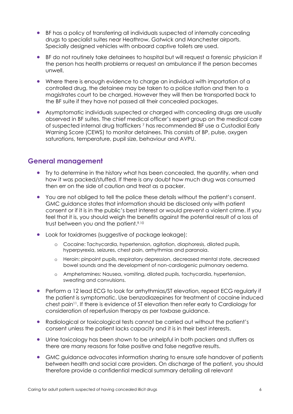- BF has a policy of transferring all individuals suspected of internally concealing drugs to specialist suites near Heathrow, Gatwick and Manchester airports. Specially designed vehicles with onboard captive toilets are used.
- BF do not routinely take detainees to hospital but will request a forensic physician if the person has health problems or request an ambulance if the person becomes unwell.
- Where there is enough evidence to charge an individual with importation of a controlled drug, the detainee may be taken to a police station and then to a magistrates court to be charged. However they will then be transported back to the BF suite if they have not passed all their concealed packages.
- Asymptomatic individuals suspected or charged with concealing drugs are usually observed in BF suites. The chief medical officer's expert group on the medical care of suspected internal drug traffickers <sup>7</sup> has recommended BF use a Custodial Early Warning Score (CEWS) to monitor detainees. This consists of BP, pulse, oxygen saturations, temperature, pupil size, behaviour and AVPU.

### **General management**

- Try to determine in the history what has been concealed, the quantity, when and how it was packed/stuffed. If there is any doubt how much drug was consumed then err on the side of caution and treat as a packer.
- You are not obliged to tell the police these details without the patient's consent. GMC guidance states that information should be disclosed only with patient consent or if it is in the public's best interest or would prevent a violent crime. If you feel that it is, you should weigh the benefits against the potential result of a loss of trust between you and the patient.<sup>9.10</sup>
- Look for toxidromes (suggestive of package leakage):
	- o Cocaine: Tachycardia, hypertension, agitation, diaphoresis, dilated pupils, hyperpyrexia, seizures, chest pain, arrhythmias and paranoia.
	- o Heroin: pinpoint pupils, respiratory depression, decreased mental state, decreased bowel sounds and the development of non-cardiogenic pulmonary oedema.
	- o Amphetamines: Nausea, vomiting, dilated pupils, tachycardia, hypertension, sweating and convulsions.
- Perform a 12 lead ECG to look for arrhythmias/ST elevation, repeat ECG regularly if the patient is symptomatic. Use benzodiazepines for treatment of cocaine induced chest pain<sup>11</sup>. If there is evidence of ST elevation then refer early to Cardiology for consideration of reperfusion therapy as per toxbase guidance.
- Radiological or toxicological tests cannot be carried out without the patient's consent unless the patient lacks capacity and it is in their best interests.
- Urine toxicology has been shown to be unhelpful in both packers and stuffers as there are many reasons for false positive and false negative results.
- GMC guidance advocates information sharing to ensure safe handover of patients between health and social care providers. On discharge of the patient, you should therefore provide a confidential medical summary detailing all relevant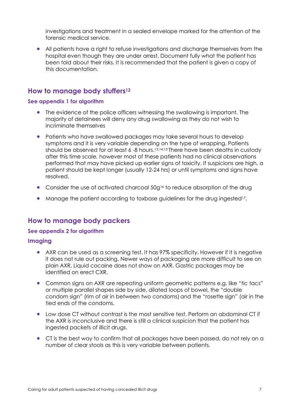investigations and treatment in a sealed envelope marked for the attention of the forensic medical service.

 All patients have a right to refuse investigations and discharge themselves from the hospital even though they are under arrest. Document fully what the patient has been told about their risks. It is recommended that the patient is given a copy of this documentation.

### **How to manage body stuffers<sup>12</sup>**

#### **See appendix 1 for algorithm**

- The evidence of the police officers witnessing the swallowing is important. The majority of detainees will deny any drug swallowing as they do not wish to incriminate themselves
- Patients who have swallowed packages may take several hours to develop symptoms and it is very variable depending on the type of wrapping. Patients should be observed for at least 6 -8 hours.13,14,15 There have been deaths in custody after this time scale, however most of these patients had no clinical observations performed that may have picked up earlier signs of toxicity. If suspicions are high, a patient should be kept longer (usually 12-24 hrs) or until symptoms and signs have resolved.
- Consider the use of activated charcoal 50g<sup>16</sup> to reduce absorption of the drug
- Manage the patient according to toxbase guidelines for the drug ingested<sup>17</sup>.

## **How to manage body packers**

#### **See appendix 2 for algorithm**

#### **Imaging**

- AXR can be used as a screening test. It has 97% specificity. However if it is negative it does not rule out packing. Newer ways of packaging are more difficult to see on plain AXR. Liquid cocaine does not show on AXR. Gastric packages may be identified on erect CXR.
- Common signs on AXR are repeating uniform geometric patterns e.g. like "tic tacs" or multiple parallel shapes side by side, dilated loops of bowel, the "double condom sign" (rim of air in between two condoms) and the "rosette sign" (air in the tied ends of the condoms.
- Low dose CT without contrast is the most sensitive test. Perform an abdominal CT if the AXR is inconclusive and there is still a clinical suspicion that the patient has ingested packets of illicit drugs.
- CT is the best way to confirm that all packages have been passed, do not rely on a number of clear stools as this is very variable between patients.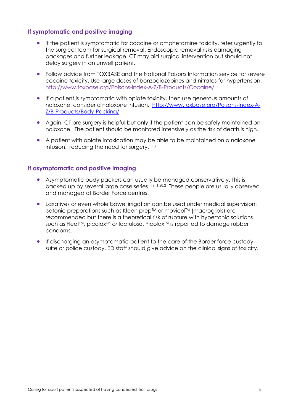#### **If symptomatic and positive imaging**

- If the patient is symptomatic for cocaine or amphetamine toxicity, refer urgently to the surgical team for surgical removal. Endoscopic removal risks damaging packages and further leakage. CT may aid surgical intervention but should not delay surgery in an unwell patient.
- Follow advice from TOXBASE and the National Poisons Information service for severe cocaine toxicity. Use large doses of bonzodiazepines and nitrates for hypertension. <http://www.toxbase.org/Poisons-Index-A-Z/B-Products/Cocaine/>
- If a patient is symptomatic with opiate toxicity, then use generous amounts of naloxone, consider a naloxone infusion. [http://www.toxbase.org/Poisons-Index-A-](http://www.toxbase.org/Poisons-Index-A-Z/B-Products/Body-Packing/)[Z/B-Products/Body-Packing/](http://www.toxbase.org/Poisons-Index-A-Z/B-Products/Body-Packing/)
- Again, CT pre surgery is helpful but only if the patient can be safely maintained on naloxone. The patient should be monitored intensively as the risk of death is high.
- A patient with opiate intoxication may be able to be maintained on a naloxone infusion, reducing the need for surgery.<sup>1,18</sup>

#### **If asymptomatic and positive imaging**

- Asymptomatic body packers can usually be managed conservatively. This is backed up by several large case series. 19, 1,20,21 These people are usually observed and managed at Border Force centres.
- Laxatives or even whole bowel irrigation can be used under medical supervision: isotonic preparations such as Kleen prep™ or movicol™ (macrogliols) are recommended but there is a theoretical risk of rupture with hypertonic solutions such as Fleet™, picolax<sup>™</sup> or lactulose. Picolax<sup>™</sup> is reported to damage rubber condoms.
- If discharging an asymptomatic patient to the care of the Border force custody suite or police custody, ED staff should give advice on the clinical signs of toxicity.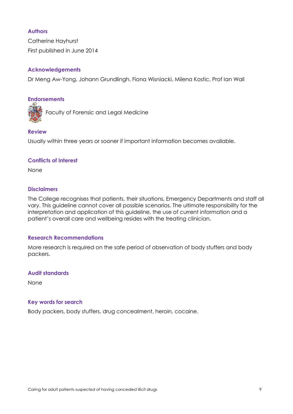#### **Authors**

Catherine Hayhurst First published in June 2014

#### **Acknowledgements**

Dr Meng Aw-Yong, Johann Grundlingh, Fiona Wisniacki, Milena Kostic, Prof Ian Wall

#### **Endorsements**

Faculty of Forensic and Legal Medicine

#### **Review**

Usually within three years or sooner if important information becomes available.

#### **Conflicts of Interest**

None

#### **Disclaimers**

The College recognises that patients, their situations, Emergency Departments and staff all vary. This guideline cannot cover all possible scenarios. The ultimate responsibility for the interpretation and application of this guideline, the use of current information and a patient's overall care and wellbeing resides with the treating clinician.

#### **Research Recommendations**

More research is required on the safe period of observation of body stuffers and body packers.

#### **Audit standards**

None

#### **Key words for search**

Body packers, body stuffers, drug concealment, heroin, cocaine.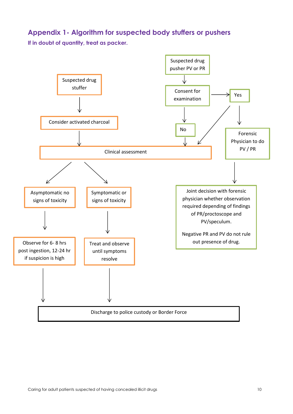## **Appendix 1- Algorithm for suspected body stuffers or pushers**

**If in doubt of quantity, treat as packer.**

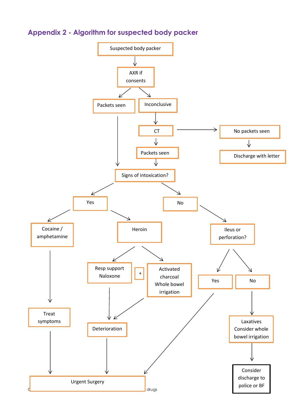

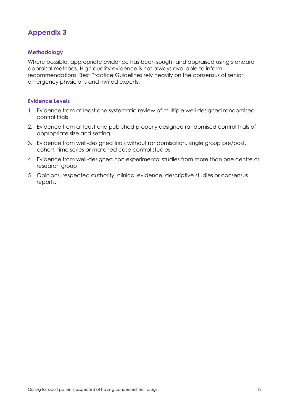# **Appendix 3**

#### **Methodology**

Where possible, appropriate evidence has been sought and appraised using standard appraisal methods. High quality evidence is not always available to inform recommendations. Best Practice Guidelines rely heavily on the consensus of senior emergency physicians and invited experts.

#### **Evidence Levels**

- 1. Evidence from at least one systematic review of multiple well designed randomised control trials
- 2. Evidence from at least one published properly designed randomised control trials of appropriate size and setting
- 3. Evidence from well-designed trials without randomisation, single group pre/post, cohort, time series or matched case control studies
- 4. Evidence from well-designed non experimental studies from more than one centre or research group
- 5. Opinions, respected authority, clinical evidence, descriptive studies or consensus reports.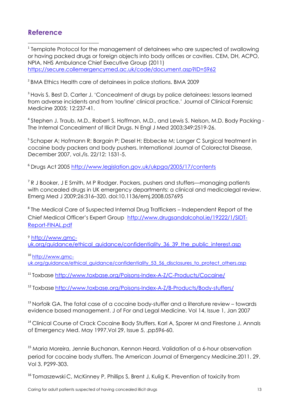## **Reference**

1 <sup>1</sup> Template Protocol for the management of detainees who are suspected of swallowing or having packed drugs or foreign objects into body orifices or cavities. CEM, DH, ACPO, NPIA, NHS Ambulance Chief Executive Group (2011) <https://secure.collemergencymed.ac.uk/code/document.asp?ID=5962>

2 BMA Ethics Health care of detainees in police stations. BMA 2009

<sup>3</sup> Havis S, Best D, Carter J. 'Concealment of drugs by police detainees: lessons learned from adverse incidents and from 'routine' clinical practice.' Journal of Clinical Forensic Medicine 2005; 12:237-41.

<sup>4</sup> Stephen J. Traub, M.D., Robert S. Hoffman, M.D., and Lewis S. Nelson, M.D. Body Packing -The Internal Concealment of Illicit Drugs. N Engl J Med 2003;349:2519-26.

<sup>5</sup> Schaper A; Hofmann R; Bargain P; Desel H; Ebbecke M; Langer C Surgical treatment in cocaine body packers and body pushers. International Journal of Colorectal Disease, December 2007, vol./is. 22/12: 1531-5.

<sup>6</sup> Drugs Act 2005<http://www.legislation.gov.uk/ukpga/2005/17/contents>

<sup>7</sup> R J Booker, J E Smith, M P Rodger. Packers, pushers and stuffers—managing patients with concealed drugs in UK emergency departments: a clinical and medicolegal review. Emerg Med J 2009;26:316–320. doi:10.1136/emj.2008.057695

<sup>8</sup> The Medical Care of Suspected Internal Drug Traffickers – Independent Report of the Chief Medical Officer's Expert Group [http://www.drugsandalcohol.ie/19222/1/SIDT-](http://www.drugsandalcohol.ie/19222/1/SIDT-Report-FINAL.pdf)[Report-FINAL.pdf](http://www.drugsandalcohol.ie/19222/1/SIDT-Report-FINAL.pdf)

<sup>9</sup> [http://www.gmc](http://www.gmc-uk.org/guidance/ethical_guidance/confidentiality_36_39_the_public_interest.asp)[uk.org/guidance/ethical\\_guidance/confidentiality\\_36\\_39\\_the\\_public\\_interest.asp](http://www.gmc-uk.org/guidance/ethical_guidance/confidentiality_36_39_the_public_interest.asp)

<sup>10</sup> [http://www.gmc-](http://www.gmc-uk.org/guidance/ethical_guidance/confidentiality_53_56_disclosures_to_protect_others.asp)

uk.org/auidance/ethical\_auidance/confidentiality\_53\_56\_disclosures\_to\_protect\_others.asp

<sup>11</sup> Toxbase<http://www.toxbase.org/Poisons-Index-A-Z/C-Products/Cocaine/>

<sup>12</sup> Toxbase [http://www.toxbase.org/Poisons-Index-A-Z/B-Products/Body-stuffers/](http://www.toxbase.org/Poisons-Index-A-Z/B-Products/Body-Packing/)

<sup>13</sup> Norfolk GA. The fatal case of a cocaine body-stuffer and a literature review – towards evidence based management. [J of For and Legal Medicine.](http://www.sciencedirect.com/science/journal/1752928X) [Vol 14, Issue 1,](http://www.sciencedirect.com/science?_ob=PublicationURL&_tockey=%23TOC%2340101%232007%23999859998%23640784%23FLA%23&_cdi=40101&_pubType=J&_auth=y&_acct=C000010098&_version=1&_urlVersion=0&_userid=5932406&md5=7cfa777771904763fcb74233ef90ac52) Jan 2007

<sup>14</sup> Clinical Course of Crack Cocaine Body Stuffers. Karl A, Sporer M and Firestone J. Annals [of Emergency Med.](http://www.sciencedirect.com/science/journal/01960644) May 1997[.Vol 29, Issue 5,](http://www.sciencedirect.com/science?_ob=PublicationURL&_tockey=%23TOC%236696%231997%23999709994%23612317%23FLA%23&_cdi=6696&_pubType=J&_auth=y&_acct=C000010098&_version=1&_urlVersion=0&_userid=5932406&md5=0819484932392a97cacc0adaef0b0522) ,pp596-60.

<sup>15</sup> Maria Moreira, Jennie Buchanan, Kennon Heard. Validation of a 6-hour observation period for cocaine body stuffers. The American Journal of Emergency Medicine.2011. 29. Vol 3. P299-303.

<sup>16</sup> Tomaszewski C, McKinney P, Phillips S, Brent J, Kulig K, Prevention of toxicity from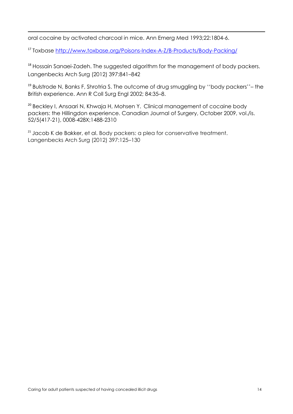oral cocaine by activated charcoal in mice. Ann Emerg Med 1993;22:1804-6.

1

<sup>17</sup> Toxbase<http://www.toxbase.org/Poisons-Index-A-Z/B-Products/Body-Packing/>

<sup>18</sup> Hossain Sanaei-Zadeh. The suggested algorithm for the management of body packers. Langenbecks Arch Surg (2012) 397:841–842

 $19$  Bulstrode N, Banks F, Shrotria S. The outcome of drug smuggling by "body packers" – the British experience. Ann R Coll Surg Engl 2002; 84:35–8.

<sup>20</sup> Beckley I, Ansaari N, Khwaja H, Mohsen Y. Clinical management of cocaine body packers: the Hillingdon experience. Canadian Journal of Surgery, October 2009, vol./is. 52/5(417-21), 0008-428X;1488-2310

<sup>21</sup> Jacob K de Bakker, et al. Body packers: a plea for conservative treatment. Langenbecks Arch Surg (2012) 397:125–130